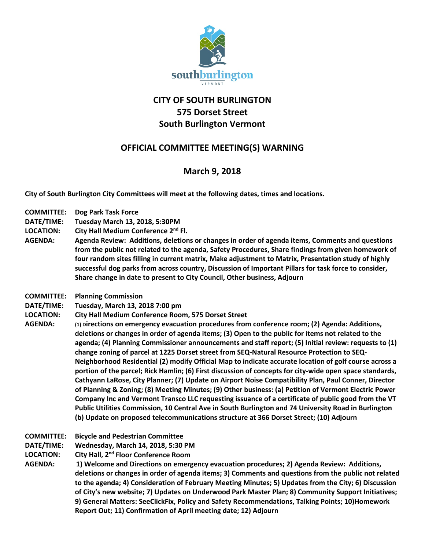

## **CITY OF SOUTH BURLINGTON 575 Dorset Street South Burlington Vermont**

## **OFFICIAL COMMITTEE MEETING(S) WARNING**

## **March 9, 2018**

**City of South Burlington City Committees will meet at the following dates, times and locations.** 

- **COMMITTEE: Dog Park Task Force**
- **DATE/TIME: Tuesday March 13, 2018, 5:30PM**
- **LOCATION: City Hall Medium Conference 2nd Fl.**
- **AGENDA: Agenda Review: Additions, deletions or changes in order of agenda items, Comments and questions from the public not related to the agenda, Safety Procedures, Share findings from given homework of four random sites filling in current matrix, Make adjustment to Matrix, Presentation study of highly successful dog parks from across country, Discussion of Important Pillars for task force to consider, Share change in date to present to City Council, Other business, Adjourn**
- **COMMITTEE: Planning Commission**
- **DATE/TIME: Tuesday, March 13, 2018 7:00 pm**
- **LOCATION: City Hall Medium Conference Room, 575 Dorset Street**
- **AGENDA: (1) Directions on emergency evacuation procedures from conference room; (2) Agenda: Additions, deletions or changes in order of agenda items; (3) Open to the public for items not related to the agenda; (4) Planning Commissioner announcements and staff report; (5) Initial review: requests to (1) change zoning of parcel at 1225 Dorset street from SEQ-Natural Resource Protection to SEQ-Neighborhood Residential (2) modify Official Map to indicate accurate location of golf course across a portion of the parcel; Rick Hamlin; (6) First discussion of concepts for city-wide open space standards, Cathyann LaRose, City Planner; (7) Update on Airport Noise Compatibility Plan, Paul Conner, Director of Planning & Zoning; (8) Meeting Minutes; (9) Other business: (a) Petition of Vermont Electric Power Company Inc and Vermont Transco LLC requesting issuance of a certificate of public good from the VT Public Utilities Commission, 10 Central Ave in South Burlington and 74 University Road in Burlington (b) Update on proposed telecommunications structure at 366 Dorset Street; (10) Adjourn**
- **COMMITTEE: Bicycle and Pedestrian Committee**
- **DATE/TIME: Wednesday, March 14, 2018, 5:30 PM**
- **LOCATION: City Hall, 2nd Floor Conference Room**

**AGENDA: 1) Welcome and Directions on emergency evacuation procedures; 2) Agenda Review: Additions, deletions or changes in order of agenda items; 3) Comments and questions from the public not related to the agenda; 4) Consideration of February Meeting Minutes; 5) Updates from the City; 6) Discussion of City's new website; 7) Updates on Underwood Park Master Plan; 8) Community Support Initiatives; 9) General Matters: SeeClickFix, Policy and Safety Recommendations, Talking Points; 10)Homework Report Out; 11) Confirmation of April meeting date; 12) Adjourn**